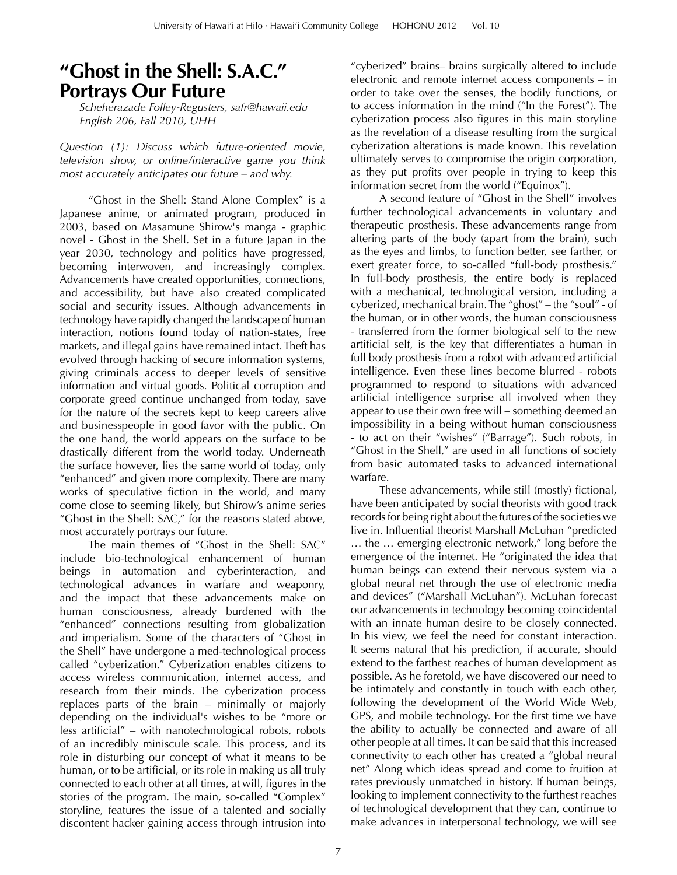## **"Ghost in the Shell: S.A.C." Portrays Our Future**

*Scheherazade Folley-Regusters, [safr@hawaii.edu](mailto:safr@hawaii.edu) English 206, Fall 2010, UHH* 

*Question (1): Discuss which future-oriented movie, television show, or online/interactive game you think most accurately anticipates our future – and why.* 

"Ghost in the Shell: Stand Alone Complex" is a Japanese anime, or animated program, produced in 2003, based on Masamune Shirow's manga - graphic novel - Ghost in the Shell. Set in a future Japan in the year 2030, technology and politics have progressed, becoming interwoven, and increasingly complex. Advancements have created opportunities, connections, and accessibility, but have also created complicated social and security issues. Although advancements in technology have rapidly changed the landscape of human interaction, notions found today of nation-states, free markets, and illegal gains have remained intact. Theft has evolved through hacking of secure information systems, giving criminals access to deeper levels of sensitive information and virtual goods. Political corruption and corporate greed continue unchanged from today, save for the nature of the secrets kept to keep careers alive and businesspeople in good favor with the public. On the one hand, the world appears on the surface to be drastically different from the world today. Underneath the surface however, lies the same world of today, only "enhanced" and given more complexity. There are many works of speculative fiction in the world, and many come close to seeming likely, but Shirow's anime series "Ghost in the Shell: SAC," for the reasons stated above, most accurately portrays our future.

The main themes of "Ghost in the Shell: SAC" include bio-technological enhancement of human beings in automation and cyberinteraction, and technological advances in warfare and weaponry, and the impact that these advancements make on human consciousness, already burdened with the "enhanced" connections resulting from globalization and imperialism. Some of the characters of "Ghost in the Shell" have undergone a med-technological process called "cyberization." Cyberization enables citizens to access wireless communication, internet access, and research from their minds. The cyberization process replaces parts of the brain – minimally or majorly depending on the individual's wishes to be "more or less artificial"  $-$  with nanotechnological robots, robots of an incredibly miniscule scale. This process, and its role in disturbing our concept of what it means to be human, or to be artificial, or its role in making us all truly connected to each other at all times, at will, figures in the stories of the program. The main, so-called "Complex" storyline, features the issue of a talented and socially discontent hacker gaining access through intrusion into

"cyberized" brains– brains surgically altered to include electronic and remote internet access components – in order to take over the senses, the bodily functions, or to access information in the mind ("In the Forest"). The cyberization process also figures in this main storyline as the revelation of a disease resulting from the surgical cyberization alterations is made known. This revelation ultimately serves to compromise the origin corporation, as they put profits over people in trying to keep this information secret from the world ("Equinox").

A second feature of "Ghost in the Shell" involves further technological advancements in voluntary and therapeutic prosthesis. These advancements range from altering parts of the body (apart from the brain), such as the eyes and limbs, to function better, see farther, or exert greater force, to so-called "full-body prosthesis." In full-body prosthesis, the entire body is replaced with a mechanical, technological version, including a cyberized, mechanical brain. The "ghost" – the "soul" - of the human, or in other words, the human consciousness - transferred from the former biological self to the new artificial self, is the key that differentiates a human in full body prosthesis from a robot with advanced artificial intelligence. Even these lines become blurred - robots programmed to respond to situations with advanced artificial intelligence surprise all involved when they appear to use their own free will – something deemed an impossibility in a being without human consciousness - to act on their "wishes" ("Barrage"). Such robots, in "Ghost in the Shell," are used in all functions of society from basic automated tasks to advanced international warfare.

These advancements, while still (mostly) fictional, have been anticipated by social theorists with good track records for being right about the futures of the societies we live in. Influential theorist Marshall McLuhan "predicted … the … emerging electronic network," long before the emergence of the internet. He "originated the idea that human beings can extend their nervous system via a global neural net through the use of electronic media and devices" ("Marshall McLuhan"). McLuhan forecast our advancements in technology becoming coincidental with an innate human desire to be closely connected. In his view, we feel the need for constant interaction. It seems natural that his prediction, if accurate, should extend to the farthest reaches of human development as possible. As he foretold, we have discovered our need to be intimately and constantly in touch with each other, following the development of the World Wide Web, GPS, and mobile technology. For the first time we have the ability to actually be connected and aware of all other people at all times. It can be said that this increased connectivity to each other has created a "global neural net" Along which ideas spread and come to fruition at rates previously unmatched in history. If human beings, looking to implement connectivity to the furthest reaches of technological development that they can, continue to make advances in interpersonal technology, we will see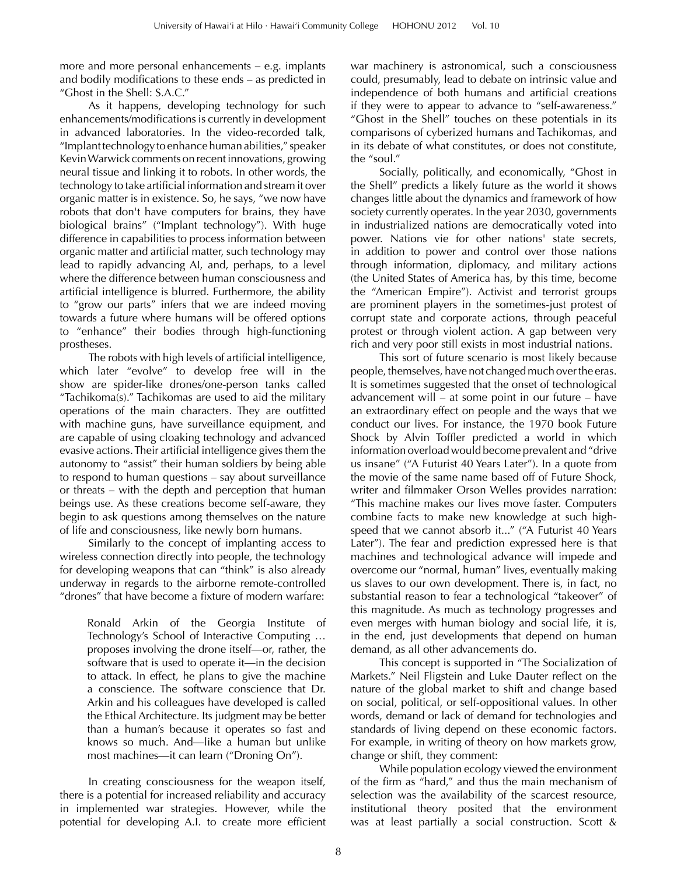more and more personal enhancements – e.g. implants and bodily modifications to these  $ends - as$  predicted in "Ghost in the Shell: S.A.C."

As it happens, developing technology for such enhancements/modifications is currently in development in advanced laboratories. In the video-recorded talk, "Implant technology to enhance human abilities," speaker Kevin Warwick comments on recent innovations, growing neural tissue and linking it to robots. In other words, the technology to take artificial information and stream it over organic matter is in existence. So, he says, "we now have robots that don't have computers for brains, they have biological brains" ("Implant technology"). With huge difference in capabilities to process information between organic matter and artificial matter, such technology may lead to rapidly advancing AI, and, perhaps, to a level where the difference between human consciousness and artificial intelligence is blurred. Furthermore, the ability to "grow our parts" infers that we are indeed moving towards a future where humans will be offered options to "enhance" their bodies through high-functioning prostheses.

The robots with high levels of artificial intelligence, which later "evolve" to develop free will in the show are spider-like drones/one-person tanks called "Tachikoma(s)." Tachikomas are used to aid the military operations of the main characters. They are outfitted with machine guns, have surveillance equipment, and are capable of using cloaking technology and advanced evasive actions. Their artificial intelligence gives them the autonomy to "assist" their human soldiers by being able to respond to human questions – say about surveillance or threats – with the depth and perception that human beings use. As these creations become self-aware, they begin to ask questions among themselves on the nature of life and consciousness, like newly born humans.

Similarly to the concept of implanting access to wireless connection directly into people, the technology for developing weapons that can "think" is also already underway in regards to the airborne remote-controlled "drones" that have become a fixture of modern warfare:

Ronald Arkin of the Georgia Institute of Technology's School of Interactive Computing … proposes involving the drone itself—or, rather, the software that is used to operate it—in the decision to attack. In effect, he plans to give the machine a conscience. The software conscience that Dr. Arkin and his colleagues have developed is called the Ethical Architecture. Its judgment may be better than a human's because it operates so fast and knows so much. And—like a human but unlike most machines—it can learn ("Droning On").

In creating consciousness for the weapon itself, there is a potential for increased reliability and accuracy in implemented war strategies. However, while the potential for developing A.I. to create more efficient war machinery is astronomical, such a consciousness could, presumably, lead to debate on intrinsic value and independence of both humans and artificial creations if they were to appear to advance to "self-awareness." "Ghost in the Shell" touches on these potentials in its comparisons of cyberized humans and Tachikomas, and in its debate of what constitutes, or does not constitute, the "soul."

Socially, politically, and economically, "Ghost in the Shell" predicts a likely future as the world it shows changes little about the dynamics and framework of how society currently operates. In the year 2030, governments in industrialized nations are democratically voted into power. Nations vie for other nations' state secrets, in addition to power and control over those nations through information, diplomacy, and military actions (the United States of America has, by this time, become the "American Empire"). Activist and terrorist groups are prominent players in the sometimes-just protest of corrupt state and corporate actions, through peaceful protest or through violent action. A gap between very rich and very poor still exists in most industrial nations.

This sort of future scenario is most likely because people, themselves, have not changed much over the eras. It is sometimes suggested that the onset of technological advancement will – at some point in our future – have an extraordinary effect on people and the ways that we conduct our lives. For instance, the 1970 book Future Shock by Alvin Toffler predicted a world in which information overload would become prevalent and "drive us insane" ("A Futurist 40 Years Later"). In a quote from the movie of the same name based off of Future Shock, writer and filmmaker Orson Welles provides narration: "This machine makes our lives move faster. Computers combine facts to make new knowledge at such highspeed that we cannot absorb it..." ("A Futurist 40 Years Later"). The fear and prediction expressed here is that machines and technological advance will impede and overcome our "normal, human" lives, eventually making us slaves to our own development. There is, in fact, no substantial reason to fear a technological "takeover" of this magnitude. As much as technology progresses and even merges with human biology and social life, it is, in the end, just developments that depend on human demand, as all other advancements do.

This concept is supported in "The Socialization of Markets." Neil Fligstein and Luke Dauter reflect on the nature of the global market to shift and change based on social, political, or self-oppositional values. In other words, demand or lack of demand for technologies and standards of living depend on these economic factors. For example, in writing of theory on how markets grow, change or shift, they comment:

While population ecology viewed the environment of the firm as "hard," and thus the main mechanism of selection was the availability of the scarcest resource, institutional theory posited that the environment was at least partially a social construction. Scott &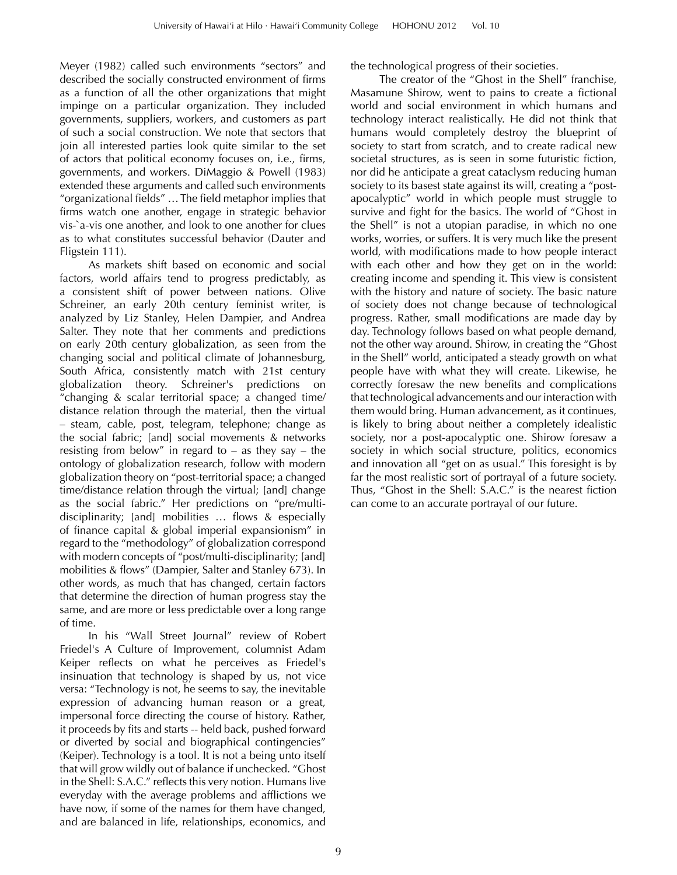Meyer (1982) called such environments "sectors" and described the socially constructed environment of firms as a function of all the other organizations that might impinge on a particular organization. They included governments, suppliers, workers, and customers as part of such a social construction. We note that sectors that join all interested parties look quite similar to the set of actors that political economy focuses on, i.e., firms, governments, and workers. DiMaggio & Powell (1983) extended these arguments and called such environments "organizational fields" ... The field metaphor implies that firms watch one another, engage in strategic behavior vis-`a-vis one another, and look to one another for clues as to what constitutes successful behavior (Dauter and Fligstein 111).

As markets shift based on economic and social factors, world affairs tend to progress predictably, as a consistent shift of power between nations. Olive Schreiner, an early 20th century feminist writer, is analyzed by Liz Stanley, Helen Dampier, and Andrea Salter. They note that her comments and predictions on early 20th century globalization, as seen from the changing social and political climate of Johannesburg, South Africa, consistently match with 21st century globalization theory. Schreiner's predictions on "changing & scalar territorial space; a changed time/ distance relation through the material, then the virtual – steam, cable, post, telegram, telephone; change as the social fabric; [and] social movements & networks resisting from below" in regard to  $-$  as they say  $-$  the ontology of globalization research, follow with modern globalization theory on "post-territorial space; a changed time/distance relation through the virtual; [and] change as the social fabric." Her predictions on "pre/multidisciplinarity; [and] mobilities ... flows & especially of finance capital  $&$  global imperial expansionism" in regard to the "methodology" of globalization correspond with modern concepts of "post/multi-disciplinarity; [and] mobilities & flows" (Dampier, Salter and Stanley 673). In other words, as much that has changed, certain factors that determine the direction of human progress stay the same, and are more or less predictable over a long range of time.

In his "Wall Street Journal" review of Robert Friedel's A Culture of Improvement, columnist Adam Keiper reflects on what he perceives as Friedel's insinuation that technology is shaped by us, not vice versa: "Technology is not, he seems to say, the inevitable expression of advancing human reason or a great, impersonal force directing the course of history. Rather, it proceeds by fits and starts -- held back, pushed forward or diverted by social and biographical contingencies" (Keiper). Technology is a tool. It is not a being unto itself that will grow wildly out of balance if unchecked. "Ghost in the Shell: S.A.C." reflects this very notion. Humans live everyday with the average problems and afflictions we have now, if some of the names for them have changed, and are balanced in life, relationships, economics, and

the technological progress of their societies.

The creator of the "Ghost in the Shell" franchise, Masamune Shirow, went to pains to create a fictional world and social environment in which humans and technology interact realistically. He did not think that humans would completely destroy the blueprint of society to start from scratch, and to create radical new societal structures, as is seen in some futuristic fiction, nor did he anticipate a great cataclysm reducing human society to its basest state against its will, creating a "postapocalyptic" world in which people must struggle to survive and fight for the basics. The world of "Ghost in the Shell" is not a utopian paradise, in which no one works, worries, or suffers. It is very much like the present world, with modifications made to how people interact with each other and how they get on in the world: creating income and spending it. This view is consistent with the history and nature of society. The basic nature of society does not change because of technological progress. Rather, small modifications are made day by day. Technology follows based on what people demand, not the other way around. Shirow, in creating the "Ghost in the Shell" world, anticipated a steady growth on what people have with what they will create. Likewise, he correctly foresaw the new benefits and complications that technological advancements and our interaction with them would bring. Human advancement, as it continues, is likely to bring about neither a completely idealistic society, nor a post-apocalyptic one. Shirow foresaw a society in which social structure, politics, economics and innovation all "get on as usual." This foresight is by far the most realistic sort of portrayal of a future society. Thus, "Ghost in the Shell: S.A.C." is the nearest fiction can come to an accurate portrayal of our future.